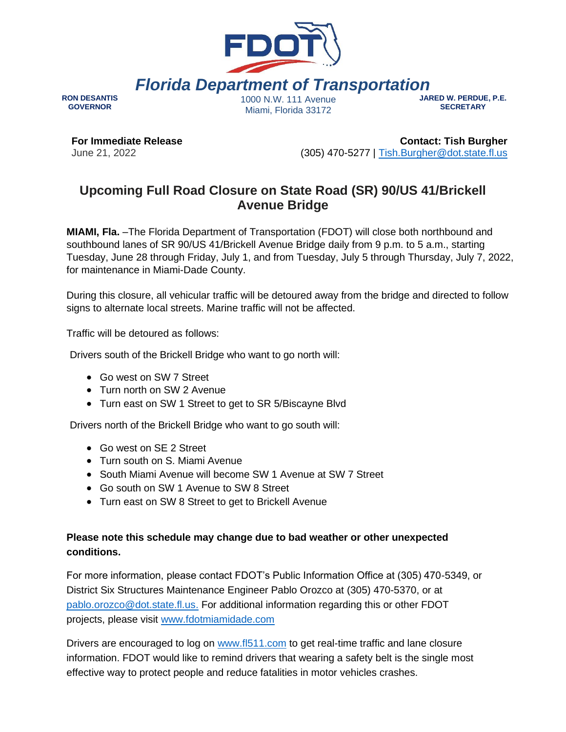

*Florida Department of Transportation*

**RON DESANTIS GOVERNOR**

1000 N.W. 111 Avenue Miami, Florida 33172

**JARED W. PERDUE, P.E. SECRETARY**

**For Immediate Release** June 21, 2022

**Contact: Tish Burgher** (305) 470-5277 | [Tish.Burgher@dot.state.fl.us](mailto:Tish.Burgher@dot.state.fl.us)

## **Upcoming Full Road Closure on State Road (SR) 90/US 41/Brickell Avenue Bridge**

**MIAMI, Fla.** –The Florida Department of Transportation (FDOT) will close both northbound and southbound lanes of SR 90/US 41/Brickell Avenue Bridge daily from 9 p.m. to 5 a.m., starting Tuesday, June 28 through Friday, July 1, and from Tuesday, July 5 through Thursday, July 7, 2022, for maintenance in Miami-Dade County.

During this closure, all vehicular traffic will be detoured away from the bridge and directed to follow signs to alternate local streets. Marine traffic will not be affected.

Traffic will be detoured as follows:

Drivers south of the Brickell Bridge who want to go north will:

- Go west on SW 7 Street
- Turn north on SW 2 Avenue
- Turn east on SW 1 Street to get to SR 5/Biscayne Blvd

Drivers north of the Brickell Bridge who want to go south will:

- Go west on SE 2 Street
- Turn south on S. Miami Avenue
- South Miami Avenue will become SW 1 Avenue at SW 7 Street
- Go south on SW 1 Avenue to SW 8 Street
- Turn east on SW 8 Street to get to Brickell Avenue

## **Please note this schedule may change due to bad weather or other unexpected conditions.**

For more information, please contact FDOT's Public Information Office at (305) 470-5349, or District Six Structures Maintenance Engineer Pablo Orozco at (305) 470-5370, or a[t](mailto:%20pablo.orozco@dot.state.fl.us) [pablo.orozco@dot.state.fl.us](mailto:%20pablo.orozco@dot.state.fl.us)[.](mailto:Javier.Hurtado@dot.state.fl.us) For additional information regarding this or other FDOT projects, please visit [www.fdotmiamidade.com](http://www.fdotmiamidade.com/)

Drivers are encouraged to log on [www.fl511.com](http://www.fl511.com/) to get real-time traffic and lane closure information. FDOT would like to remind drivers that wearing a safety belt is the single most effective way to protect people and reduce fatalities in motor vehicles crashes.